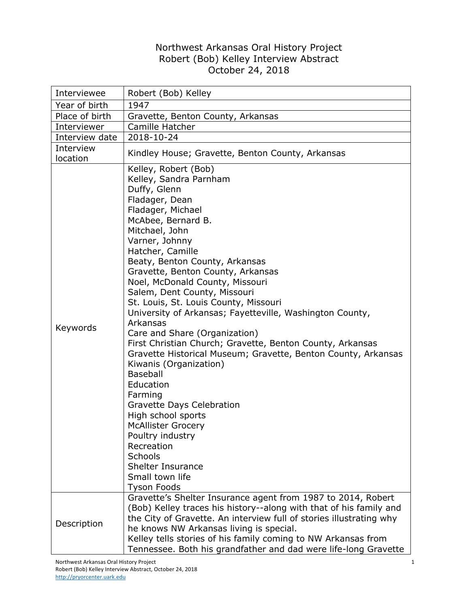## Northwest Arkansas Oral History Project Robert (Bob) Kelley Interview Abstract October 24, 2018

| Interviewee           | Robert (Bob) Kelley                                                                                                                                                                                                                                                                                                                                                                                                                                                                                                                                                                                                                                                                                                                                                                                                                                                                                                                                  |
|-----------------------|------------------------------------------------------------------------------------------------------------------------------------------------------------------------------------------------------------------------------------------------------------------------------------------------------------------------------------------------------------------------------------------------------------------------------------------------------------------------------------------------------------------------------------------------------------------------------------------------------------------------------------------------------------------------------------------------------------------------------------------------------------------------------------------------------------------------------------------------------------------------------------------------------------------------------------------------------|
| Year of birth         | 1947                                                                                                                                                                                                                                                                                                                                                                                                                                                                                                                                                                                                                                                                                                                                                                                                                                                                                                                                                 |
| Place of birth        | Gravette, Benton County, Arkansas                                                                                                                                                                                                                                                                                                                                                                                                                                                                                                                                                                                                                                                                                                                                                                                                                                                                                                                    |
| Interviewer           | Camille Hatcher                                                                                                                                                                                                                                                                                                                                                                                                                                                                                                                                                                                                                                                                                                                                                                                                                                                                                                                                      |
| Interview date        | 2018-10-24                                                                                                                                                                                                                                                                                                                                                                                                                                                                                                                                                                                                                                                                                                                                                                                                                                                                                                                                           |
| Interview<br>location | Kindley House; Gravette, Benton County, Arkansas                                                                                                                                                                                                                                                                                                                                                                                                                                                                                                                                                                                                                                                                                                                                                                                                                                                                                                     |
| Keywords              | Kelley, Robert (Bob)<br>Kelley, Sandra Parnham<br>Duffy, Glenn<br>Fladager, Dean<br>Fladager, Michael<br>McAbee, Bernard B.<br>Mitchael, John<br>Varner, Johnny<br>Hatcher, Camille<br>Beaty, Benton County, Arkansas<br>Gravette, Benton County, Arkansas<br>Noel, McDonald County, Missouri<br>Salem, Dent County, Missouri<br>St. Louis, St. Louis County, Missouri<br>University of Arkansas; Fayetteville, Washington County,<br>Arkansas<br>Care and Share (Organization)<br>First Christian Church; Gravette, Benton County, Arkansas<br>Gravette Historical Museum; Gravette, Benton County, Arkansas<br>Kiwanis (Organization)<br><b>Baseball</b><br>Education<br>Farming<br>Gravette Days Celebration<br>High school sports<br><b>McAllister Grocery</b><br>Poultry industry<br>Recreation<br>Schools<br><b>Shelter Insurance</b><br>Small town life<br><b>Tyson Foods</b><br>Gravette's Shelter Insurance agent from 1987 to 2014, Robert |
| Description           | (Bob) Kelley traces his history--along with that of his family and<br>the City of Gravette. An interview full of stories illustrating why<br>he knows NW Arkansas living is special.<br>Kelley tells stories of his family coming to NW Arkansas from<br>Tennessee. Both his grandfather and dad were life-long Gravette                                                                                                                                                                                                                                                                                                                                                                                                                                                                                                                                                                                                                             |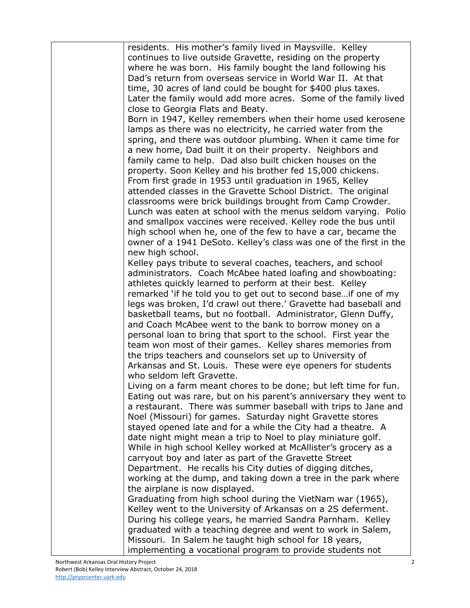| residents. His mother's family lived in Maysville. Kelley          |
|--------------------------------------------------------------------|
| continues to live outside Gravette, residing on the property       |
| where he was born. His family bought the land following his        |
| Dad's return from overseas service in World War II. At that        |
| time, 30 acres of land could be bought for \$400 plus taxes.       |
| Later the family would add more acres. Some of the family lived    |
| close to Georgia Flats and Beaty.                                  |
| Born in 1947, Kelley remembers when their home used kerosene       |
| lamps as there was no electricity, he carried water from the       |
| spring, and there was outdoor plumbing. When it came time for      |
| a new home, Dad built it on their property. Neighbors and          |
| family came to help. Dad also built chicken houses on the          |
| property. Soon Kelley and his brother fed 15,000 chickens.         |
| From first grade in 1953 until graduation in 1965, Kelley          |
| attended classes in the Gravette School District. The original     |
| classrooms were brick buildings brought from Camp Crowder.         |
| Lunch was eaten at school with the menus seldom varying. Polio     |
| and smallpox vaccines were received. Kelley rode the bus until     |
| high school when he, one of the few to have a car, became the      |
| owner of a 1941 DeSoto. Kelley's class was one of the first in the |
| new high school.                                                   |
| Kelley pays tribute to several coaches, teachers, and school       |
| administrators. Coach McAbee hated loafing and showboating:        |
| athletes quickly learned to perform at their best. Kelley          |
| remarked 'if he told you to get out to second base if one of my    |
| legs was broken, I'd crawl out there.' Gravette had baseball and   |
| basketball teams, but no football. Administrator, Glenn Duffy,     |
| and Coach McAbee went to the bank to borrow money on a             |
| personal loan to bring that sport to the school. First year the    |
| team won most of their games. Kelley shares memories from          |
| the trips teachers and counselors set up to University of          |
| Arkansas and St. Louis. These were eye openers for students        |
| who seldom left Gravette.                                          |
| Living on a farm meant chores to be done; but left time for fun.   |
| Eating out was rare, but on his parent's anniversary they went to  |
| a restaurant. There was summer baseball with trips to Jane and     |
| Noel (Missouri) for games. Saturday night Gravette stores          |
| stayed opened late and for a while the City had a theatre. A       |
| date night might mean a trip to Noel to play miniature golf.       |
| While in high school Kelley worked at McAllister's grocery as a    |
| carryout boy and later as part of the Gravette Street              |
| Department. He recalls his City duties of digging ditches,         |
| working at the dump, and taking down a tree in the park where      |
| the airplane is now displayed.                                     |
| Graduating from high school during the VietNam war (1965),         |
| Kelley went to the University of Arkansas on a 2S deferment.       |
| During his college years, he married Sandra Parnham. Kelley        |
| graduated with a teaching degree and went to work in Salem,        |
| Missouri. In Salem he taught high school for 18 years,             |
| implementing a vocational program to provide students not          |